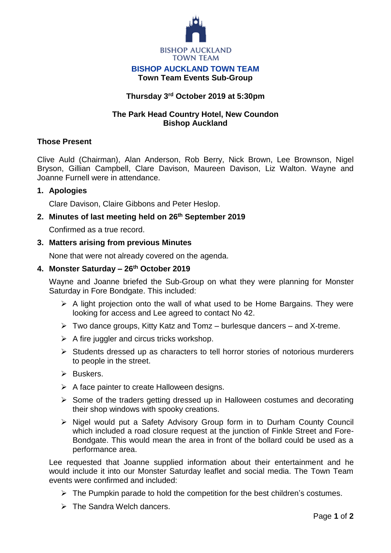

#### **BISHOP AUCKLAND TOWN TEAM Town Team Events Sub-Group**

# **Thursday 3 rd October 2019 at 5:30pm**

## **The Park Head Country Hotel, New Coundon Bishop Auckland**

## **Those Present**

Clive Auld (Chairman), Alan Anderson, Rob Berry, Nick Brown, Lee Brownson, Nigel Bryson, Gillian Campbell, Clare Davison, Maureen Davison, Liz Walton. Wayne and Joanne Furnell were in attendance.

### **1. Apologies**

Clare Davison, Claire Gibbons and Peter Heslop.

### **2. Minutes of last meeting held on 26th September 2019**

Confirmed as a true record.

### **3. Matters arising from previous Minutes**

None that were not already covered on the agenda.

# **4. Monster Saturday – 26th October 2019**

Wayne and Joanne briefed the Sub-Group on what they were planning for Monster Saturday in Fore Bondgate. This included:

- $\triangleright$  A light projection onto the wall of what used to be Home Bargains. They were looking for access and Lee agreed to contact No 42.
- $\triangleright$  Two dance groups, Kitty Katz and Tomz burlesque dancers and X-treme.
- $\triangleright$  A fire juggler and circus tricks workshop.
- $\triangleright$  Students dressed up as characters to tell horror stories of notorious murderers to people in the street.
- $\triangleright$  Buskers.
- $\triangleright$  A face painter to create Halloween designs.
- $\triangleright$  Some of the traders getting dressed up in Halloween costumes and decorating their shop windows with spooky creations.
- Nigel would put a Safety Advisory Group form in to Durham County Council which included a road closure request at the junction of Finkle Street and Fore-Bondgate. This would mean the area in front of the bollard could be used as a performance area.

Lee requested that Joanne supplied information about their entertainment and he would include it into our Monster Saturday leaflet and social media. The Town Team events were confirmed and included:

- $\triangleright$  The Pumpkin parade to hold the competition for the best children's costumes.
- $\triangleright$  The Sandra Welch dancers.